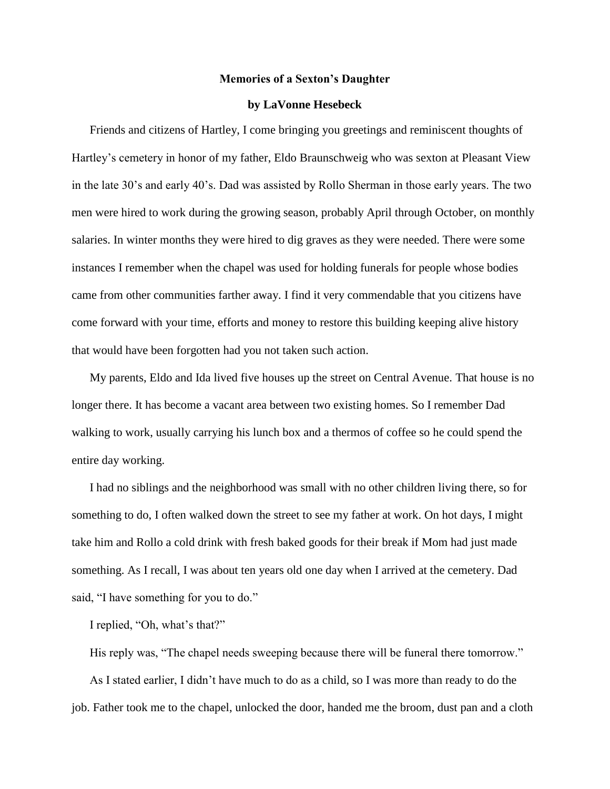## **Memories of a Sexton's Daughter**

## **by LaVonne Hesebeck**

Friends and citizens of Hartley, I come bringing you greetings and reminiscent thoughts of Hartley's cemetery in honor of my father, Eldo Braunschweig who was sexton at Pleasant View in the late 30's and early 40's. Dad was assisted by Rollo Sherman in those early years. The two men were hired to work during the growing season, probably April through October, on monthly salaries. In winter months they were hired to dig graves as they were needed. There were some instances I remember when the chapel was used for holding funerals for people whose bodies came from other communities farther away. I find it very commendable that you citizens have come forward with your time, efforts and money to restore this building keeping alive history that would have been forgotten had you not taken such action.

My parents, Eldo and Ida lived five houses up the street on Central Avenue. That house is no longer there. It has become a vacant area between two existing homes. So I remember Dad walking to work, usually carrying his lunch box and a thermos of coffee so he could spend the entire day working.

I had no siblings and the neighborhood was small with no other children living there, so for something to do, I often walked down the street to see my father at work. On hot days, I might take him and Rollo a cold drink with fresh baked goods for their break if Mom had just made something. As I recall, I was about ten years old one day when I arrived at the cemetery. Dad said, "I have something for you to do."

I replied, "Oh, what's that?"

His reply was, "The chapel needs sweeping because there will be funeral there tomorrow." As I stated earlier, I didn't have much to do as a child, so I was more than ready to do the job. Father took me to the chapel, unlocked the door, handed me the broom, dust pan and a cloth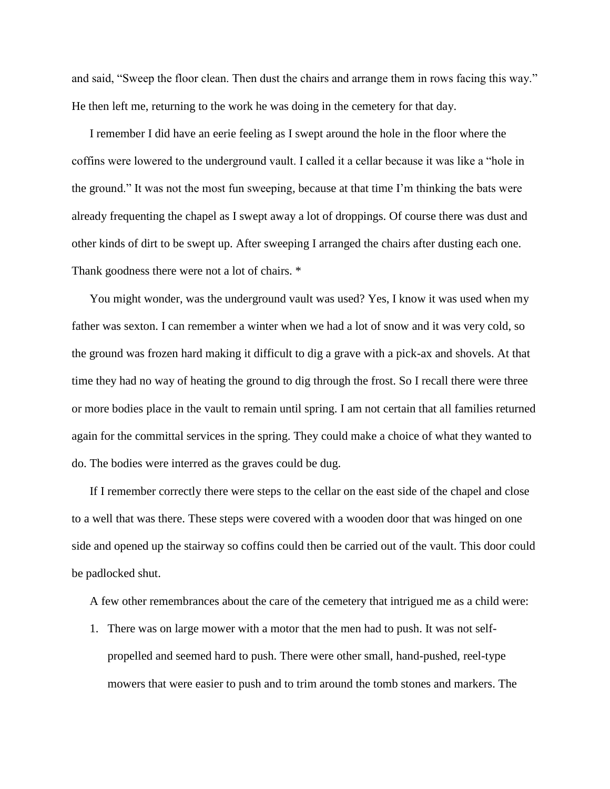and said, "Sweep the floor clean. Then dust the chairs and arrange them in rows facing this way." He then left me, returning to the work he was doing in the cemetery for that day.

I remember I did have an eerie feeling as I swept around the hole in the floor where the coffins were lowered to the underground vault. I called it a cellar because it was like a "hole in the ground." It was not the most fun sweeping, because at that time I'm thinking the bats were already frequenting the chapel as I swept away a lot of droppings. Of course there was dust and other kinds of dirt to be swept up. After sweeping I arranged the chairs after dusting each one. Thank goodness there were not a lot of chairs.  $*$ 

You might wonder, was the underground vault was used? Yes, I know it was used when my father was sexton. I can remember a winter when we had a lot of snow and it was very cold, so the ground was frozen hard making it difficult to dig a grave with a pick-ax and shovels. At that time they had no way of heating the ground to dig through the frost. So I recall there were three or more bodies place in the vault to remain until spring. I am not certain that all families returned again for the committal services in the spring. They could make a choice of what they wanted to do. The bodies were interred as the graves could be dug.

If I remember correctly there were steps to the cellar on the east side of the chapel and close to a well that was there. These steps were covered with a wooden door that was hinged on one side and opened up the stairway so coffins could then be carried out of the vault. This door could be padlocked shut.

A few other remembrances about the care of the cemetery that intrigued me as a child were:

1. There was on large mower with a motor that the men had to push. It was not selfpropelled and seemed hard to push. There were other small, hand-pushed, reel-type mowers that were easier to push and to trim around the tomb stones and markers. The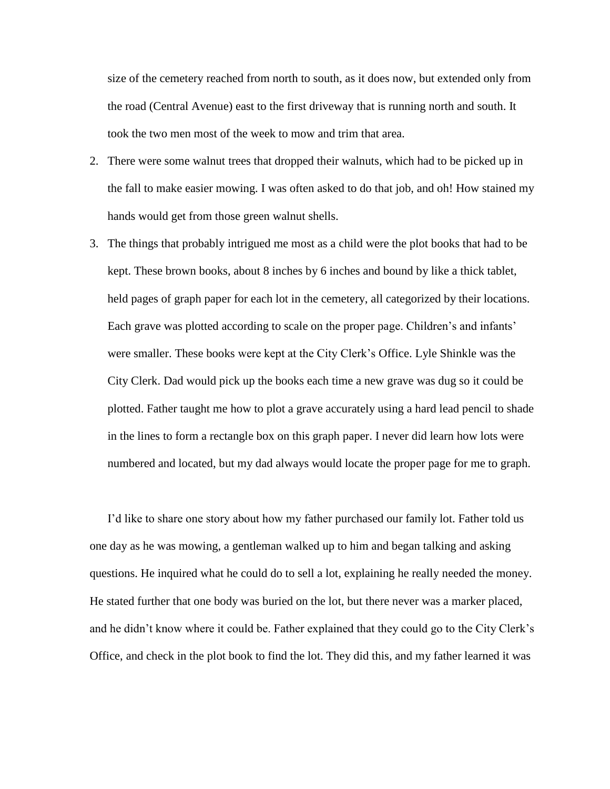size of the cemetery reached from north to south, as it does now, but extended only from the road (Central Avenue) east to the first driveway that is running north and south. It took the two men most of the week to mow and trim that area.

- 2. There were some walnut trees that dropped their walnuts, which had to be picked up in the fall to make easier mowing. I was often asked to do that job, and oh! How stained my hands would get from those green walnut shells.
- 3. The things that probably intrigued me most as a child were the plot books that had to be kept. These brown books, about 8 inches by 6 inches and bound by like a thick tablet, held pages of graph paper for each lot in the cemetery, all categorized by their locations. Each grave was plotted according to scale on the proper page. Children's and infants' were smaller. These books were kept at the City Clerk's Office. Lyle Shinkle was the City Clerk. Dad would pick up the books each time a new grave was dug so it could be plotted. Father taught me how to plot a grave accurately using a hard lead pencil to shade in the lines to form a rectangle box on this graph paper. I never did learn how lots were numbered and located, but my dad always would locate the proper page for me to graph.

I'd like to share one story about how my father purchased our family lot. Father told us one day as he was mowing, a gentleman walked up to him and began talking and asking questions. He inquired what he could do to sell a lot, explaining he really needed the money. He stated further that one body was buried on the lot, but there never was a marker placed, and he didn't know where it could be. Father explained that they could go to the City Clerk's Office, and check in the plot book to find the lot. They did this, and my father learned it was